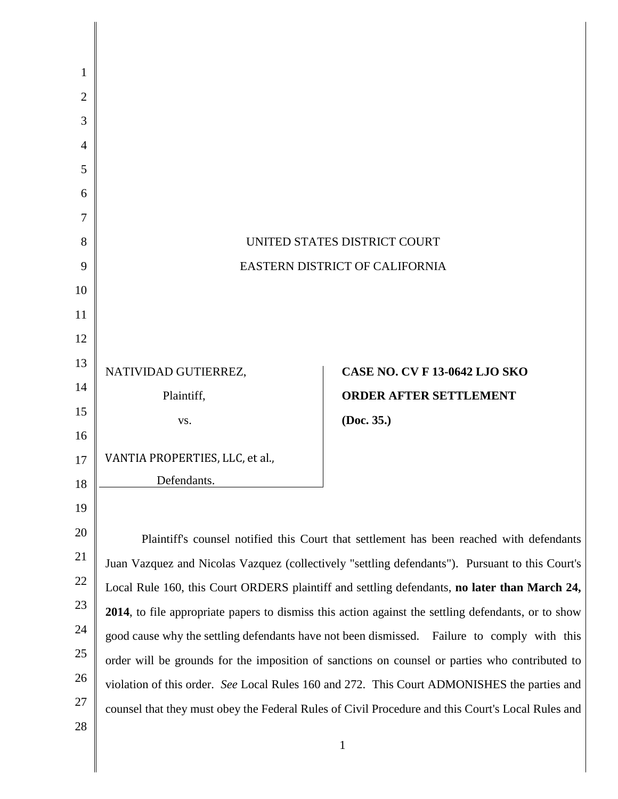